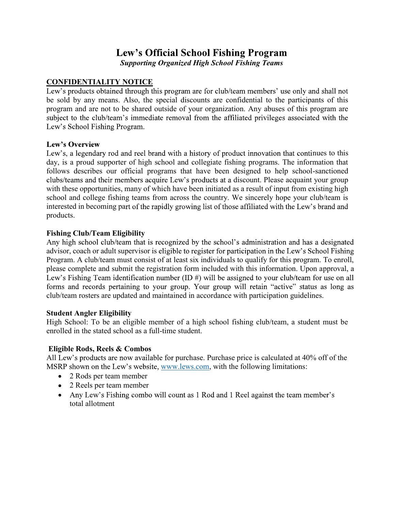# Lew's Official School Fishing Program Supporting Organized High School Fishing Teams

#### CONFIDENTIALITY NOTICE

Lew's products obtained through this program are for club/team members' use only and shall not be sold by any means. Also, the special discounts are confidential to the participants of this program and are not to be shared outside of your organization. Any abuses of this program are subject to the club/team's immediate removal from the affiliated privileges associated with the Lew's School Fishing Program.

#### Lew's Overview

Lew's, a legendary rod and reel brand with a history of product innovation that continues to this day, is a proud supporter of high school and collegiate fishing programs. The information that follows describes our official programs that have been designed to help school-sanctioned clubs/teams and their members acquire Lew's products at a discount. Please acquaint your group with these opportunities, many of which have been initiated as a result of input from existing high school and college fishing teams from across the country. We sincerely hope your club/team is interested in becoming part of the rapidly growing list of those affiliated with the Lew's brand and products.

#### Fishing Club/Team Eligibility

Any high school club/team that is recognized by the school's administration and has a designated advisor, coach or adult supervisor is eligible to register for participation in the Lew's School Fishing Program. A club/team must consist of at least six individuals to qualify for this program. To enroll, please complete and submit the registration form included with this information. Upon approval, a Lew's Fishing Team identification number (ID  $#$ ) will be assigned to your club/team for use on all forms and records pertaining to your group. Your group will retain "active" status as long as club/team rosters are updated and maintained in accordance with participation guidelines.

#### Student Angler Eligibility

High School: To be an eligible member of a high school fishing club/team, a student must be enrolled in the stated school as a full-time student.

#### Eligible Rods, Reels & Combos

All Lew's products are now available for purchase. Purchase price is calculated at 40% off of the MSRP shown on the Lew's website, www.lews.com, with the following limitations:

- 2 Rods per team member
- 2 Reels per team member
- Any Lew's Fishing combo will count as 1 Rod and 1 Reel against the team member's total allotment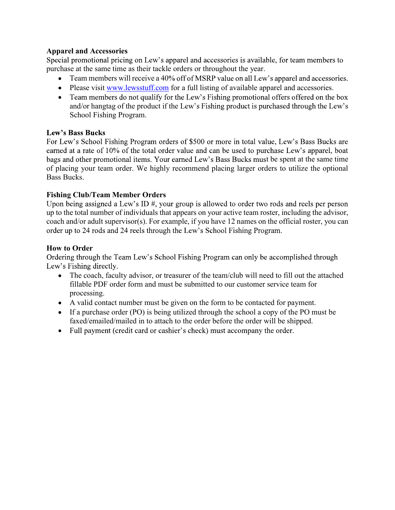#### Apparel and Accessories

Special promotional pricing on Lew's apparel and accessories is available, for team members to purchase at the same time as their tackle orders or throughout the year.

- $\bullet$  Team members will receive a 40% off of MSRP value on all Lew's apparel and accessories.
- Please visit www.lewsstuff.com for a full listing of available apparel and accessories.
- Team members do not qualify for the Lew's Fishing promotional offers offered on the box and/or hangtag of the product if the Lew's Fishing product is purchased through the Lew's School Fishing Program.

#### **Lew's Bass Bucks**

For Lew's School Fishing Program orders of \$500 or more in total value, Lew's Bass Bucks are earned at a rate of 10% of the total order value and can be used to purchase Lew's apparel, boat bags and other promotional items. Your earned Lew's Bass Bucks must be spent at the same time of placing your team order. We highly recommend placing larger orders to utilize the optional Bass Bucks.

## Fishing Club/Team Member Orders

Upon being assigned a Lew's ID  $#$ , your group is allowed to order two rods and reels per person up to the total number of individuals that appears on your active team roster, including the advisor, coach and/or adult supervisor(s). For example, if you have 12 names on the official roster, you can order up to 24 rods and 24 reels through the Lew's School Fishing Program.

## How to Order

Ordering through the Team Lew's School Fishing Program can only be accomplished through Lew's Fishing directly.

- The coach, faculty advisor, or treasurer of the team/club will need to fill out the attached fillable PDF order form and must be submitted to our customer service team for processing.
- A valid contact number must be given on the form to be contacted for payment.
- If a purchase order (PO) is being utilized through the school a copy of the PO must be faxed/emailed/mailed in to attach to the order before the order will be shipped.
- Full payment (credit card or cashier's check) must accompany the order.